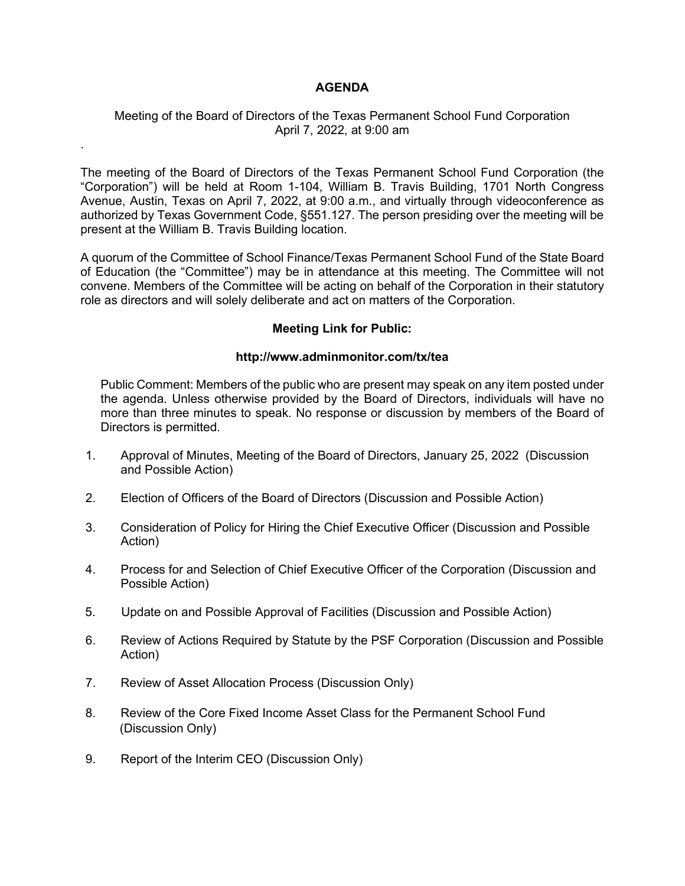## **AGENDA**

## Meeting of the Board of Directors of the Texas Permanent School Fund Corporation April 7, 2022, at 9:00 am

.

The meeting of the Board of Directors of the Texas Permanent School Fund Corporation (the "Corporation") will be held at Room 1-104, William B. Travis Building, 1701 North Congress Avenue, Austin, Texas on April 7, 2022, at 9:00 a.m., and virtually through videoconference as authorized by Texas Government Code, §551.127. The person presiding over the meeting will be present at the William B. Travis Building location.

A quorum of the Committee of School Finance/Texas Permanent School Fund of the State Board of Education (the "Committee") may be in attendance at this meeting. The Committee will not convene. Members of the Committee will be acting on behalf of the Corporation in their statutory role as directors and will solely deliberate and act on matters of the Corporation.

## **Meeting Link for Public:**

## **http://www.adminmonitor.com/tx/tea**

Public Comment: Members of the public who are present may speak on any item posted under the agenda. Unless otherwise provided by the Board of Directors, individuals will have no more than three minutes to speak. No response or discussion by members of the Board of Directors is permitted.

- 1. Approval of Minutes, Meeting of the Board of Directors, January 25, 2022 (Discussion and Possible Action)
- 2. Election of Officers of the Board of Directors (Discussion and Possible Action)
- 3. Consideration of Policy for Hiring the Chief Executive Officer (Discussion and Possible Action)
- 4. Process for and Selection of Chief Executive Officer of the Corporation (Discussion and Possible Action)
- 5.Update on and Possible Approval of Facilities (Discussion and Possible Action)
- 6. Review of Actions Required by Statute by the PSF Corporation (Discussion and Possible Action)
- 7. Review of Asset Allocation Process (Discussion Only)
- 8. Review of the Core Fixed Income Asset Class for the Permanent School Fund (Discussion Only)
- 9. Report of the Interim CEO (Discussion Only)